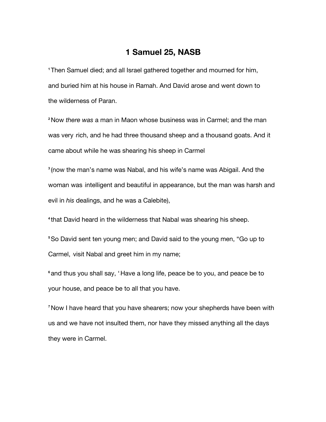## **1 Samuel 25, NASB**

**<sup>1</sup>**Then Samuel died; and all Israel gathered together and mourned for him, and buried him at his house in Ramah. And David arose and went down to the wilderness of Paran.

**<sup>2</sup>**Now *there was* a man in Maon whose business was in Carmel; and the man was very rich, and he had three thousand sheep and a thousand goats. And it came about while he was shearing his sheep in Carmel

**<sup>3</sup>** (now the man's name was Nabal, and his wife's name was Abigail. And the woman was intelligent and beautiful in appearance, but the man was harsh and evil in *his* dealings, and he was a Calebite),

**<sup>4</sup>** that David heard in the wilderness that Nabal was shearing his sheep.

**<sup>5</sup>**So David sent ten young men; and David said to the young men, "Go up to Carmel, visit Nabal and greet him in my name;

<sup>6</sup> and thus you shall say, 'Have a long life, peace be to you, and peace be to your house, and peace be to all that you have.

**<sup>7</sup>**Now I have heard that you have shearers; now your shepherds have been with us and we have not insulted them, nor have they missed anything all the days they were in Carmel.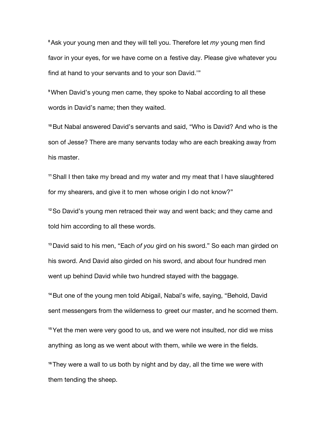**<sup>8</sup>**Ask your young men and they will tell you. Therefore let *my* young men find favor in your eyes, for we have come on a festive day. Please give whatever you find at hand to your servants and to your son David.'"

**<sup>9</sup>**When David's young men came, they spoke to Nabal according to all these words in David's name; then they waited.

**<sup>10</sup>**But Nabal answered David's servants and said, "Who is David? And who is the son of Jesse? There are many servants today who are each breaking away from his master.

**<sup>11</sup>**Shall I then take my bread and my water and my meat that I have slaughtered for my shearers, and give it to men whose origin I do not know?"

**<sup>12</sup>**So David's young men retraced their way and went back; and they came and told him according to all these words.

**<sup>13</sup>**David said to his men, "Each *of you* gird on his sword." So each man girded on his sword. And David also girded on his sword, and about four hundred men went up behind David while two hundred stayed with the baggage.

**<sup>14</sup>**But one of the young men told Abigail, Nabal's wife, saying, "Behold, David sent messengers from the wilderness to greet our master, and he scorned them. **<sup>15</sup>**Yet the men were very good to us, and we were not insulted, nor did we miss anything as long as we went about with them, while we were in the fields.

**<sup>16</sup>**They were a wall to us both by night and by day, all the time we were with them tending the sheep.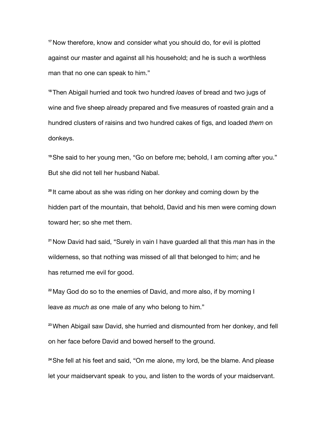<sup>17</sup> Now therefore, know and consider what you should do, for evil is plotted against our master and against all his household; and he is such a worthless man that no one can speak to him."

**<sup>18</sup>**Then Abigail hurried and took two hundred *loaves* of bread and two jugs of wine and five sheep already prepared and five measures of roasted grain and a hundred clusters of raisins and two hundred cakes of figs, and loaded *them* on donkeys.

**<sup>19</sup>**She said to her young men, "Go on before me; behold, I am coming after you." But she did not tell her husband Nabal.

**<sup>20</sup>** It came about as she was riding on her donkey and coming down by the hidden part of the mountain, that behold, David and his men were coming down toward her; so she met them.

**<sup>21</sup>**Now David had said, "Surely in vain I have guarded all that this *man* has in the wilderness, so that nothing was missed of all that belonged to him; and he has returned me evil for good.

**<sup>22</sup>**May God do so to the enemies of David, and more also, if by morning I leave as much as one male of any who belong to him."

**<sup>23</sup>**When Abigail saw David, she hurried and dismounted from her donkey, and fell on her face before David and bowed herself to the ground.

<sup>24</sup> She fell at his feet and said, "On me alone, my lord, be the blame. And please let your maidservant speak to you, and listen to the words of your maidservant.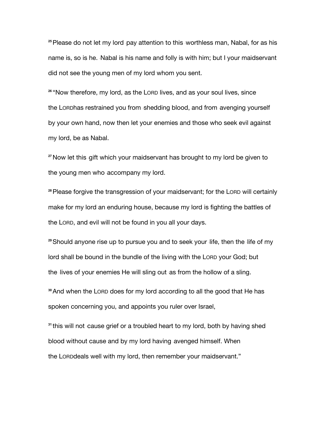<sup>25</sup> Please do not let my lord pay attention to this worthless man, Nabal, for as his name is, so is he. Nabal is his name and folly is with him; but I your maidservant did not see the young men of my lord whom you sent.

**<sup>26</sup>** "Now therefore, my lord, as the LORD lives, and as your soul lives, since the Lonphas restrained you from shedding blood, and from avenging yourself by your own hand, now then let your enemies and those who seek evil against my lord, be as Nabal.

<sup>27</sup> Now let this gift which your maidservant has brought to my lord be given to the young men who accompany my lord.

**<sup>28</sup>**Please forgive the transgression of your maidservant; for the LORD will certainly make for my lord an enduring house, because my lord is fighting the battles of the LORD, and evil will not be found in you all your days.

<sup>29</sup> Should anyone rise up to pursue you and to seek your life, then the life of my lord shall be bound in the bundle of the living with the LORD your God; but the lives of your enemies He will sling out as from the hollow of a sling.

**<sup>30</sup>**And when the LORD does for my lord according to all the good that He has spoken concerning you, and appoints you ruler over Israel,

<sup>31</sup> this will not cause grief or a troubled heart to my lord, both by having shed blood without cause and by my lord having avenged himself. When the LORDdeals well with my lord, then remember your maidservant."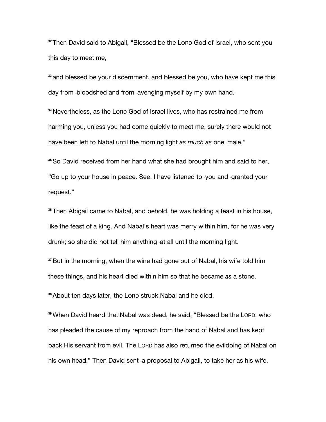**<sup>32</sup>**Then David said to Abigail, "Blessed be the LORD God of Israel, who sent you this day to meet me,

**<sup>33</sup>** and blessed be your discernment, and blessed be you, who have kept me this day from **bloodshed and from avenging myself by my own hand.** 

**<sup>34</sup>**Nevertheless, as the LORD God of Israel lives, who has restrained me from harming you, unless you had come quickly to meet me, surely there would not have been left to Nabal until the morning light as much as one male."

**<sup>35</sup>**So David received from her hand what she had brought him and said to her, "Go up to your house in peace. See, I have listened to you and granted your request."

**<sup>36</sup>**Then Abigail came to Nabal, and behold, he was holding a feast in his house, like the feast of a king. And Nabal's heart was merry within him, for he was very drunk; so she did not tell him anything at all until the morning light.

**<sup>37</sup>**But in the morning, when the wine had gone out of Nabal, his wife told him these things, and his heart died within him so that he became *as* a stone.

**<sup>38</sup>**About ten days later, the LORD struck Nabal and he died.

**<sup>39</sup>**When David heard that Nabal was dead, he said, "Blessed be the LORD, who has pleaded the cause of my reproach from the hand of Nabal and has kept back His servant from evil. The LORD has also returned the evildoing of Nabal on his own head." Then David sent a proposal to Abigail, to take her as his wife.